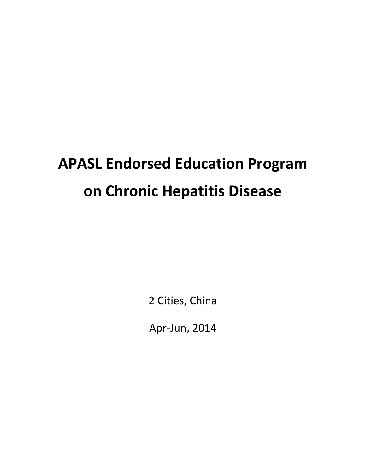# **APASL Endorsed Education Program on Chronic Hepatitis Disease**

2 Cities, China

Apr-Jun, 2014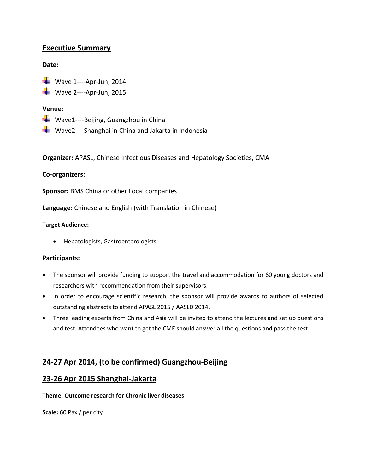# **Executive Summary**

## **Date:**

 $\blacktriangleright$  Wave 1----Apr-Jun, 2014

 $\overline{\phantom{a} \bullet}$  Wave 2----Apr-Jun, 2015

## **Venue:**

- Wave1----Beijing**,** Guangzhou in China
- ↓ Wave2----Shanghai in China and Jakarta in Indonesia

**Organizer:** APASL, Chinese Infectious Diseases and Hepatology Societies, CMA

## **Co-organizers:**

**Sponsor:** BMS China or other Local companies

**Language:** Chinese and English (with Translation in Chinese)

## **Target Audience:**

Hepatologists, Gastroenterologists

## **Participants:**

- The sponsor will provide funding to support the travel and accommodation for 60 young doctors and researchers with recommendation from their supervisors.
- In order to encourage scientific research, the sponsor will provide awards to authors of selected outstanding abstracts to attend APASL 2015 / AASLD 2014.
- Three leading experts from China and Asia will be invited to attend the lectures and set up questions and test. Attendees who want to get the CME should answer all the questions and pass the test.

# **24-27 Apr 2014, (to be confirmed) Guangzhou-Beijing**

## **23-26 Apr 2015 Shanghai-Jakarta**

## **Theme: Outcome research for Chronic liver diseases**

**Scale:** 60 Pax / per city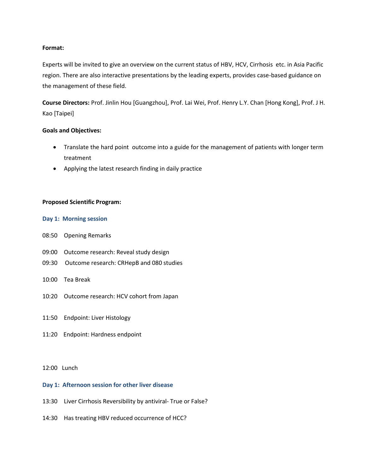## **Format:**

Experts will be invited to give an overview on the current status of HBV, HCV, [Cirrhosis](app:ds:%20%20cirrhosis) etc. in Asia Pacific region. There are also interactive presentations by the leading experts, provides case-based guidance on the management of these field.

**Course Directors:** Prof. Jinlin Hou [Guangzhou], Prof. Lai Wei, Prof. Henry L.Y. Chan [Hong Kong], Prof. J H. Kao [Taipei]

#### **Goals and Objectives:**

- Translate the hard point outcome into a guide for the management of patients with longer term treatment
- Applying the latest research finding in daily practice

#### **Proposed Scientific Program:**

#### **Day 1: Morning session**

- 08:50 Opening Remarks
- 09:00 Outcome research: Reveal study design
- 09:30 Outcome research: CRHepB and 080 studies
- 10:00 Tea Break
- 10:20 Outcome research: HCV cohort from Japan
- 11:50 Endpoint: Liver Histology
- 11:20 Endpoint: Hardness endpoint

### 12:00 Lunch

#### **Day 1: Afternoon session for other liver disease**

- 13:30 Liver Cirrhosis Reversibility by antiviral- True or False?
- 14:30 Has treating HBV reduced occurrence of HCC?